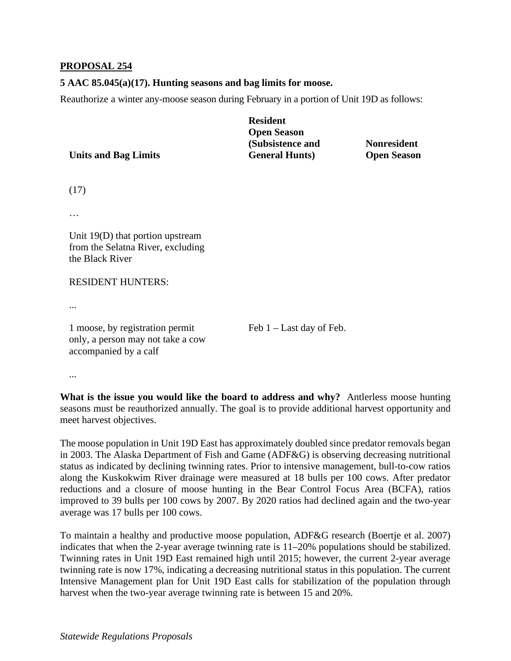## **PROPOSAL 254**

## **5 AAC 85.045(a)(17). Hunting seasons and bag limits for moose.**

Reauthorize a winter any-moose season during February in a portion of Unit 19D as follows:

|                             | <b>Resident</b>        |                    |
|-----------------------------|------------------------|--------------------|
|                             | <b>Open Season</b>     |                    |
|                             | (Subsistence and       | <b>Nonresident</b> |
| <b>Units and Bag Limits</b> | <b>General Hunts</b> ) | <b>Open Season</b> |

(17)

…

Unit 19(D) that portion upstream from the Selatna River, excluding the Black River

## RESIDENT HUNTERS:

...

1 moose, by registration permit Feb 1 – Last day of Feb. only, a person may not take a cow accompanied by a calf

...

What is the issue you would like the board to address and why? Antlerless moose hunting seasons must be reauthorized annually. The goal is to provide additional harvest opportunity and meet harvest objectives.

 average was 17 bulls per 100 cows. The moose population in Unit 19D East has approximately doubled since predator removals began in 2003. The Alaska Department of Fish and Game (ADF&G) is observing decreasing nutritional status as indicated by declining twinning rates. Prior to intensive management, bull-to-cow ratios along the Kuskokwim River drainage were measured at 18 bulls per 100 cows. After predator reductions and a closure of moose hunting in the Bear Control Focus Area (BCFA), ratios improved to 39 bulls per 100 cows by 2007. By 2020 ratios had declined again and the two-year

To maintain a healthy and productive moose population, ADF&G research (Boertje et al. 2007) indicates that when the 2-year average twinning rate is 11–20% populations should be stabilized. Twinning rates in Unit 19D East remained high until 2015; however, the current 2-year average twinning rate is now 17%, indicating a decreasing nutritional status in this population. The current Intensive Management plan for Unit 19D East calls for stabilization of the population through harvest when the two-year average twinning rate is between 15 and 20%.